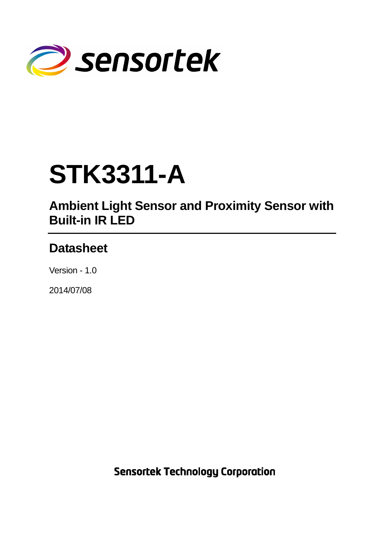

# **STK3311-A**

# **Ambient Light Sensor and Proximity Sensor with Built-in IR LED**

# **Datasheet**

Version - 1.0

2014/07/08

**Sensortek Technology Corporation**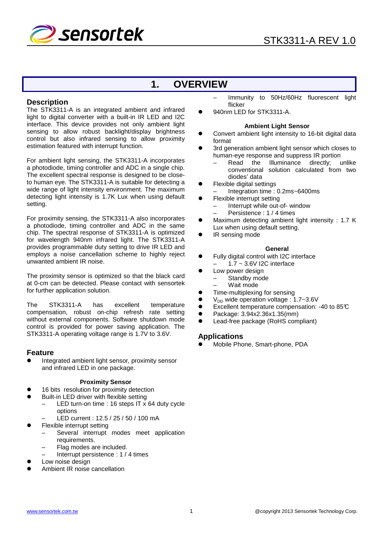

# **1. OVERVIEW**

#### **Description**

The STK3311-A is an integrated ambient and infrared light to digital converter with a built-in IR LED and I2C interface. This device provides not only ambient light sensing to allow robust backlight/display brightness control but also infrared sensing to allow proximity estimation featured with interrupt function.

For ambient light sensing, the STK3311-A incorporates a photodiode, timing controller and ADC in a single chip. The excellent spectral response is designed to be closeto human eye. The STK3311-A is suitable for detecting a wide range of light intensity environment. The maximum detecting light intensity is 1.7K Lux when using default setting.

For proximity sensing, the STK3311-A also incorporates a photodiode, timing controller and ADC in the same chip. The spectral response of STK3311-A is optimized for wavelength 940nm infrared light. The STK3311-A provides programmable duty setting to drive IR LED and employs a noise cancellation scheme to highly reject unwanted ambient IR noise.

The proximity sensor is optimized so that the black card at 0-cm can be detected. Please contact with sensortek for further application solution.

The STK3311-A has excellent temperature compensation, robust on-chip refresh rate setting without external components. Software shutdown mode control is provided for power saving application. The STK3311-A operating voltage range is 1.7V to 3.6V.

#### **Feature**

 Integrated ambient light sensor, proximity sensor and infrared LED in one package.

#### **Proximity Sensor**

- 16 bits resolution for proximity detection
- Built-in LED driver with flexible setting
	- LED turn-on time : 16 steps IT x 64 duty cycle options
		- LED current : 12.5 / 25 / 50 / 100 mA
- Flexible interrupt setting
	- Several interrupt modes meet application requirements.
	- Flag modes are included.
	- Interrupt persistence : 1 / 4 times
- Low noise design
- Ambient IR noise cancellation
- Immunity to 50Hz/60Hz fluorescent light flicker
- 940nm LED for STK3311-A.

#### **Ambient Light Sensor**

- **•** Convert ambient light intensity to 16-bit digital data format
- 3rd generation ambient light sensor which closes to human-eye response and suppress IR portion
	- Read the Illuminance directly; unlike conventional solution calculated from two diodes' data
- Flexible digital settings
- Integration time : 0.2ms~6400ms
- Flexible interrupt setting
	- Interrupt while out-of- window
	- Persistence : 1 / 4 times
- Maximum detecting ambient light intensity : 1.7 K Lux when using default setting.
- IR sensing mode

#### **General**

- Fully digital control with I2C interface
	- $1.7 \sim 3.6$ V I2C interface
- Low power design
- Standby mode
	- Wait mode
- Time-multiplexing for sensing
- $V_{DD}$  wide operation voltage : 1.7~3.6V
- Excellent temperature compensation: -40 to 85°C
- Package: 3.94x2.36x1.35(mm)
- Lead-free package (RoHS compliant)

#### **Applications**

Mobile Phone, Smart-phone, PDA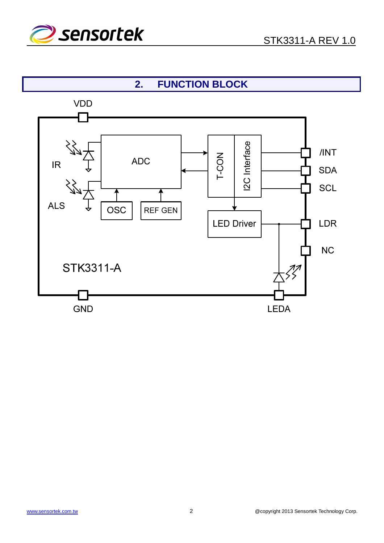

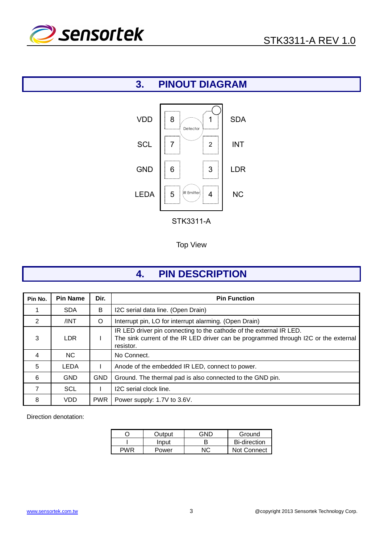

# **3. PINOUT DIAGRAM**



Top View

# **4. PIN DESCRIPTION**

| Pin No.        | <b>Pin Name</b> | Dir.       | <b>Pin Function</b>                                                                                                                                                     |
|----------------|-----------------|------------|-------------------------------------------------------------------------------------------------------------------------------------------------------------------------|
|                | <b>SDA</b>      | B          | I2C serial data line. (Open Drain)                                                                                                                                      |
| $\overline{2}$ | /INT            | $\circ$    | Interrupt pin, LO for interrupt alarming. (Open Drain)                                                                                                                  |
| 3              | <b>LDR</b>      |            | IR LED driver pin connecting to the cathode of the external IR LED.<br>The sink current of the IR LED driver can be programmed through I2C or the external<br>resistor. |
| 4              | NC.             |            | No Connect.                                                                                                                                                             |
| 5              | <b>LEDA</b>     |            | Anode of the embedded IR LED, connect to power.                                                                                                                         |
| 6              | <b>GND</b>      | <b>GND</b> | Ground. The thermal pad is also connected to the GND pin.                                                                                                               |
| 7              | <b>SCL</b>      |            | I2C serial clock line.                                                                                                                                                  |
| 8              | <b>VDD</b>      | <b>PWR</b> | Power supply: 1.7V to 3.6V.                                                                                                                                             |

Direction denotation:

|       | Output | חוחר | Ground              |
|-------|--------|------|---------------------|
|       | Input  |      | <b>Bi-direction</b> |
| D\\/R | Power  | NC.  | Not Connect         |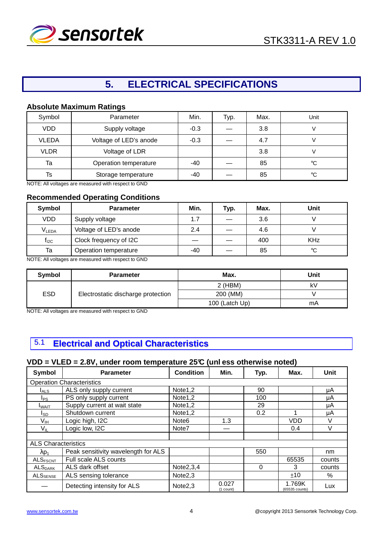

# **5. ELECTRICAL SPECIFICATIONS**

#### **Absolute Maximum Ratings**

| Symbol       | Parameter              | Min.   | Typ. | Max. | Unit |
|--------------|------------------------|--------|------|------|------|
| <b>VDD</b>   | Supply voltage         | $-0.3$ |      | 3.8  |      |
| <b>VLEDA</b> | Voltage of LED's anode | $-0.3$ |      | 4.7  |      |
| <b>VLDR</b>  | Voltage of LDR         |        |      | 3.8  |      |
| Ta           | Operation temperature  | -40    |      | 85   | °€   |
| Ts           | Storage temperature    | -40    |      | 85   | °C   |

NOTE: All voltages are measured with respect to GND

#### **Recommended Operating Conditions**

| Symbol            | <b>Parameter</b>       | Min. | Typ. | Max. | Unit       |
|-------------------|------------------------|------|------|------|------------|
| <b>VDD</b>        | Supply voltage         | 1.7  |      | 3.6  |            |
| V <sub>LEDA</sub> | Voltage of LED's anode | 2.4  |      | 4.6  |            |
| $f_{I2C}$         | Clock frequency of I2C |      |      | 400  | <b>KHz</b> |
| Ta                | Operation temperature  | -40  |      | 85   | °C         |

NOTE: All voltages are measured with respect to GND

| Symbol     | <b>Parameter</b>                   | Max.           | Unit |
|------------|------------------------------------|----------------|------|
|            |                                    | $2$ (HBM)      | k٧   |
| <b>ESD</b> | Electrostatic discharge protection | 200 (MM)       |      |
|            |                                    | 100 (Latch Up) | mA   |

NOTE: All voltages are measured with respect to GND

# 5.1 **Electrical and Optical Characteristics**

### **VDD = VLED = 2.8V, under room temperature 25°C (unl ess otherwise noted)**

| Symbol                       | <b>Parameter</b>                    | <b>Condition</b>    | Min.                 | Typ. | Max.                     | Unit   |
|------------------------------|-------------------------------------|---------------------|----------------------|------|--------------------------|--------|
|                              | <b>Operation Characteristics</b>    |                     |                      |      |                          |        |
| $I_{ALS}$                    | ALS only supply current             | Note1,2             |                      | 90   |                          | μA     |
| l <sub>PS</sub>              | PS only supply current              | Note1,2             |                      | 100  |                          | μA     |
| <b>I</b> WAIT                | Supply current at wait state        | Note1,2             |                      | 29   |                          | μA     |
| I <sub>SD</sub>              | Shutdown current                    | Note1,2             |                      | 0.2  |                          | μA     |
| V <sub>IH</sub>              | Logic high, I2C                     | Note <sub>6</sub>   | 1.3                  |      | <b>VDD</b>               | V      |
| $V_{IL}$                     | Logic low, I2C                      | Note7               |                      |      | 0.4                      | V      |
|                              |                                     |                     |                      |      |                          |        |
| <b>ALS Characteristics</b>   |                                     |                     |                      |      |                          |        |
| $\lambda$ p <sub>1</sub>     | Peak sensitivity wavelength for ALS |                     |                      | 550  |                          | nm     |
| <b>ALSFSCNT</b>              | Full scale ALS counts               |                     |                      |      | 65535                    | counts |
| $\mathsf{ALS}_\mathsf{DARK}$ | ALS dark offset                     | Note $2,3,4$        |                      | 0    | 3                        | counts |
| $ALS_{SENSE}$                | ALS sensing tolerance               | Note <sub>2,3</sub> |                      |      | $+10$                    | %      |
|                              | Detecting intensity for ALS         | Note <sub>2,3</sub> | 0.027<br>$(1$ count) |      | 1.769K<br>(65535 counts) | Lux    |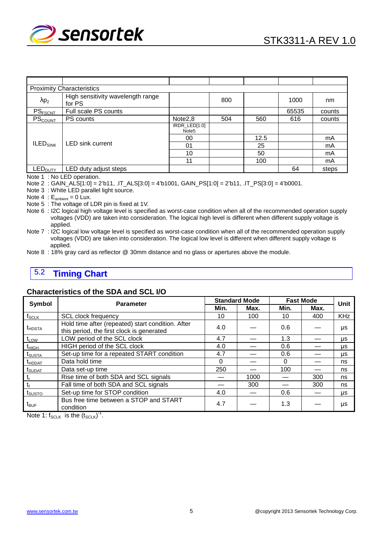

| <b>Proximity Characteristics</b> |                                             |                                    |     |      |       |        |  |  |  |
|----------------------------------|---------------------------------------------|------------------------------------|-----|------|-------|--------|--|--|--|
| $\lambda p_2$                    | High sensitivity wavelength range<br>for PS |                                    | 800 |      | 1000  | nm     |  |  |  |
| PS <sub>FSCNT</sub>              | Full scale PS counts                        |                                    |     |      | 65535 | counts |  |  |  |
| PS <sub>count</sub>              | PS counts                                   | Note <sub>2</sub> ,8               | 504 | 560  | 616   | counts |  |  |  |
|                                  |                                             | IRDR_LED[1:0]<br>Note <sub>5</sub> |     |      |       |        |  |  |  |
|                                  | <b>LED sink current</b>                     | 00                                 |     | 12.5 |       | mA     |  |  |  |
| $ILED_{SINK}$                    |                                             | 01                                 |     | 25   |       | mA     |  |  |  |
|                                  |                                             | 10                                 |     | 50   |       | mA     |  |  |  |
|                                  |                                             | 11                                 |     | 100  |       | mA     |  |  |  |
| LED <sub>DUTY</sub>              | LED duty adjust steps                       |                                    |     |      | 64    | steps  |  |  |  |

Note 1 : No LED operation.

Note 2 : GAIN\_ALS[1:0] = 2'b11, .IT\_ALS[3:0] = 4'b1001, GAIN\_PS[1:0] = 2'b11, .IT\_PS[3:0] = 4'b0001.

Note 3 : White LED parallel light source.

Note  $4 \div E_{\text{ambient}} = 0$  Lux.

Note 5 : The voltage of LDR pin is fixed at 1V.

Note 6 : I2C logical high voltage level is specified as worst-case condition when all of the recommended operation supply voltages (VDD) are taken into consideration. The logical high level is different when different supply voltage is applied.

Note 7 : I2C logical low voltage level is specified as worst-case condition when all of the recommended operation supply voltages (VDD) are taken into consideration. The logical low level is different when different supply voltage is applied.

Note 8 : 18% gray card as reflector @ 30mm distance and no glass or apertures above the module.

# 5.2 **Timing Chart**

#### **Characteristics of the SDA and SCL I/O**

| Symbol             | <b>Parameter</b>                                                                               |          | <b>Standard Mode</b> | <b>Fast Mode</b> | Unit |            |
|--------------------|------------------------------------------------------------------------------------------------|----------|----------------------|------------------|------|------------|
|                    |                                                                                                | Min.     | Max.                 | Min.             | Max. |            |
| $f_{SCLK}$         | <b>SCL clock frequency</b>                                                                     | 10       | 100                  | 10               | 400  | <b>KHz</b> |
| $t_{\text{HDSTA}}$ | Hold time after (repeated) start condition. After<br>this period, the first clock is generated | 4.0      |                      | 0.6              |      | μs         |
| $t_{LOW}$          | LOW period of the SCL clock                                                                    | 4.7      |                      | 1.3              |      | μs         |
| $t_{HIGH}$         | HIGH period of the SCL clock                                                                   | 4.0      |                      | 0.6              |      | μs         |
| t <sub>SUSTA</sub> | Set-up time for a repeated START condition                                                     | 4.7      |                      | 0.6              |      | μs         |
| <b>t</b> HDDAT     | Data hold time                                                                                 | $\Omega$ |                      | 0                |      | ns         |
| t <sub>SUDAT</sub> | Data set-up time                                                                               | 250      |                      | 100              |      | ns         |
|                    | Rise time of both SDA and SCL signals                                                          |          | 1000                 |                  | 300  | ns         |
| t,                 | Fall time of both SDA and SCL signals                                                          |          | 300                  |                  | 300  | ns         |
| t <sub>susto</sub> | Set-up time for STOP condition                                                                 | 4.0      |                      | 0.6              |      | μs         |
| $t_{\text{BUF}}$   | Bus free time between a STOP and START<br>condition                                            | 4.7      |                      | 1.3              |      | μs         |

Note 1:  $f_{SCLK}$  is the  $(t_{SCLK})^{-1}$ .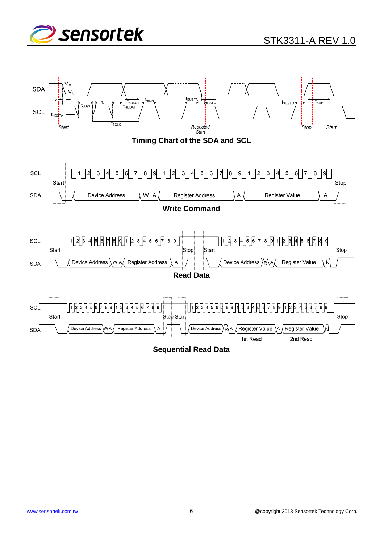

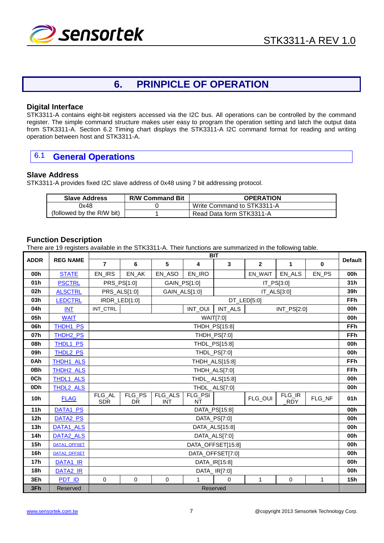

# **6. PRINPICLE OF OPERATION**

#### **Digital Interface**

STK3311-A contains eight-bit registers accessed via the I2C bus. All operations can be controlled by the command register. The simple command structure makes user easy to program the operation setting and latch the output data from STK3311-A. Section 6.2 Timing chart displays the STK3311-A I2C command format for reading and writing operation between host and STK3311-A.

### 6.1 **General Operations**

#### **Slave Address**

STK3311-A provides fixed I2C slave address of 0x48 using 7 bit addressing protocol.

| <b>Slave Address</b>      | <b>R/W Command Bit</b> | <b>OPERATION</b>           |
|---------------------------|------------------------|----------------------------|
| 0x48                      |                        | Write Command to STK3311-A |
| (followed by the R/W bit) |                        | Read Data form STK3311-A   |

#### **Function Description**

There are 19 registers available in the STK3311-A. Their functions are summarized in the following table.

|                 |                      |                      |                                              |                       |               | <b>BIT</b>       |                |                      |              |                |
|-----------------|----------------------|----------------------|----------------------------------------------|-----------------------|---------------|------------------|----------------|----------------------|--------------|----------------|
| <b>ADDR</b>     | <b>REG NAME</b>      | $\overline{7}$       | 6                                            | 5                     | 4             | 3                | $\overline{2}$ | 1                    | $\bf{0}$     | <b>Default</b> |
| 00h             | <b>STATE</b>         | EN_IRS               | EN_AK                                        | EN_ASO                | EN_IRO        |                  | EN WAIT        | EN_ALS               | EN_PS        | 00h            |
| 01h             | <b>PSCTRL</b>        |                      | PRS_PS[1:0]<br>GAIN_PS[1:0]<br>IT_PS[3:0]    |                       |               |                  |                |                      | 31h          |                |
| 02 <sub>h</sub> | <b>ALSCTRL</b>       |                      | GAIN_ALS[1:0]<br>PRS_ALS[1:0]<br>IT_ALS[3:0] |                       |               |                  |                | 39h                  |              |                |
| 03h             | <b>LEDCTRL</b>       | IRDR_LED[1:0]        |                                              |                       |               |                  | DT_LED[5:0]    |                      |              | <b>FFh</b>     |
| 04h             | <b>INT</b>           | INT_CTRL             | INT_OUI<br>INT_ALS<br>INT_PS[2:0]            |                       |               |                  |                | 00h                  |              |                |
| 05h             | <b>WAIT</b>          |                      |                                              |                       |               | <b>WAIT[7:0]</b> |                |                      |              | 00h            |
| 06h             | THDH1_PS             |                      |                                              |                       |               | THDH_PS[15:8]    |                |                      |              | <b>FFh</b>     |
| 07h             | THDH <sub>2</sub> PS |                      |                                              |                       |               | THDH_PS[7:0]     |                |                      |              | <b>FFh</b>     |
| 08h             | THDL1_PS             |                      |                                              |                       |               | THDL_PS[15:8]    |                |                      |              | 00h            |
| 09h             | THDL2_PS             |                      | THDL_PS[7:0]                                 |                       |               |                  |                |                      | 00h          |                |
| 0Ah             | THDH1_ALS            |                      | THDH_ALS[15:8]                               |                       |               |                  |                |                      | <b>FFh</b>   |                |
| 0Bh             | THDH2_ALS            |                      | THDH_ALS[7:0]                                |                       |               |                  |                |                      | <b>FFh</b>   |                |
| 0Ch             | THDL1_ALS            |                      | THDL_ALS[15:8]                               |                       |               |                  |                |                      | 00h          |                |
| 0Dh             | THDL2_ALS            |                      |                                              |                       |               | THDL_ALS[7:0]    |                |                      |              | 00h            |
| <b>10h</b>      | <b>FLAG</b>          | FLG_AL<br><b>SDR</b> | FLG_PS<br><b>DR</b>                          | FLG_ALS<br><b>INT</b> | FLG_PSI<br>NT |                  | FLG_OUI        | FLG_IR<br><b>RDY</b> | FLG_NF       | 01h            |
| 11h             | DATA1_PS             |                      |                                              |                       |               | DATA_PS[15:8]    |                |                      |              | 00h            |
| 12 <sub>h</sub> | DATA2_PS             |                      |                                              |                       |               | DATA_PS[7:0]     |                |                      |              | 00h            |
| 13h             | DATA1_ALS            |                      |                                              |                       |               | DATA_ALS[15:8]   |                |                      |              | 00h            |
| 14 <sub>h</sub> | DATA2_ALS            |                      | DATA_ALS[7:0]                                |                       |               |                  |                |                      | 00h          |                |
| 15 <sub>h</sub> | DATA1_OFFSET         |                      | DATA_OFFSET[15:8]                            |                       |               |                  |                |                      | 00h          |                |
| 16h             | <b>DATA2 OFFSET</b>  |                      | DATA_OFFSET[7:0]                             |                       |               |                  |                |                      | 00h          |                |
| 17 <sub>h</sub> | DATA1 IR             |                      | DATA_IR[15:8]                                |                       |               |                  |                | 00h                  |              |                |
| 18h             | DATA2_IR             | DATA_IR[7:0]         |                                              |                       |               |                  | 00h            |                      |              |                |
| 3Eh             | PDT ID               | $\mathbf 0$          | $\mathbf 0$                                  | $\mathbf 0$           | $\mathbf{1}$  | $\Omega$         | $\mathbf{1}$   | $\mathbf 0$          | $\mathbf{1}$ | 15h            |
| 3Fh             | Reserved             |                      |                                              |                       |               | Reserved         |                |                      |              |                |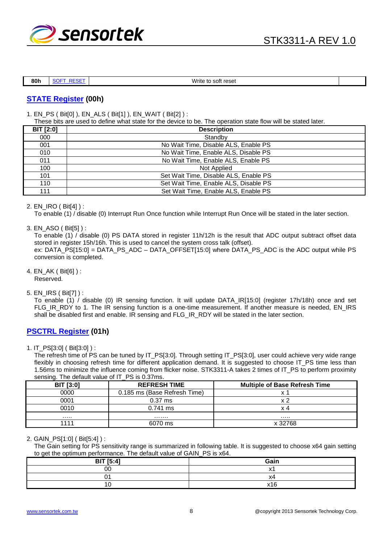

**80h | SOFT\_RESET | Write to soft reset** 

### **STATE Register (00h)**

1. EN\_PS ( Bit[0] ), EN\_ALS ( Bit[1] ), EN\_WAIT ( Bit[2] ) :

These bits are used to define what state for the device to be. The operation state flow will be stated later.

| <b>BIT [2:0]</b> | <b>Description</b>                    |  |  |  |  |
|------------------|---------------------------------------|--|--|--|--|
| 000              | Standby                               |  |  |  |  |
| 001              | No Wait Time, Disable ALS, Enable PS  |  |  |  |  |
| 010              | No Wait Time, Enable ALS, Disable PS  |  |  |  |  |
| 011              | No Wait Time, Enable ALS, Enable PS   |  |  |  |  |
| 100              | Not Applied                           |  |  |  |  |
| 101              | Set Wait Time, Disable ALS, Enable PS |  |  |  |  |
| 110              | Set Wait Time, Enable ALS, Disable PS |  |  |  |  |
| 111              | Set Wait Time, Enable ALS, Enable PS  |  |  |  |  |

#### 2. EN\_IRO ( Bit[4] ) :

To enable (1) / disable (0) Interrupt Run Once function while Interrupt Run Once will be stated in the later section.

3. EN\_ASO ( Bit[5] ) :

To enable (1) / disable (0) PS DATA stored in register 11h/12h is the result that ADC output subtract offset data stored in register 15h/16h. This is used to cancel the system cross talk (offset). ex: DATA\_PS[15:0] = DATA\_PS\_ADC – DATA\_OFFSET[15:0] where DATA\_PS\_ADC is the ADC output while PS conversion is completed.

- 4. EN\_AK ( Bit[6] ) : Reserved.
- 5. EN\_IRS ( Bit[7] ) :

To enable (1) / disable (0) IR sensing function. It will update DATA\_IR[15:0] (register 17h/18h) once and set FLG\_IR\_RDY to 1. The IR sensing function is a one-time measurement. If another measure is needed. EN\_IRS shall be disabled first and enable. IR sensing and FLG\_IR\_RDY will be stated in the later section.

### **PSCTRL Register (01h)**

1. IT\_PS[3:0] ( Bit[3:0] ) :

The refresh time of PS can be tuned by IT\_PS[3:0]. Through setting IT\_PS[3:0], user could achieve very wide range flexibly in choosing refresh time for different application demand. It is suggested to choose IT\_PS time less than 1.56ms to minimize the influence coming from flicker noise. STK3311-A takes 2 times of IT\_PS to perform proximity sensing. The default value of IT\_PS is 0.37ms.

| <b>BIT [3:0]</b> | <b>REFRESH TIME</b>          | <b>Multiple of Base Refresh Time</b> |
|------------------|------------------------------|--------------------------------------|
| 0000             | 0.185 ms (Base Refresh Time) | x :                                  |
| 0001             | $0.37$ ms                    | x 2                                  |
| 0010             | $0.741$ ms                   | x 4                                  |
| .                | .                            | .                                    |
| 1111             | 6070 ms                      | x 32768                              |

#### 2. GAIN\_PS[1:0] ( Bit[5:4] ) :

The Gain setting for PS sensitivity range is summarized in following table. It is suggested to choose x64 gain setting to get the optimum performance. The default value of GAIN\_PS is x64.

| <b>BIT [5:4]</b> | Gain |
|------------------|------|
| 00               |      |
| -                |      |
|                  |      |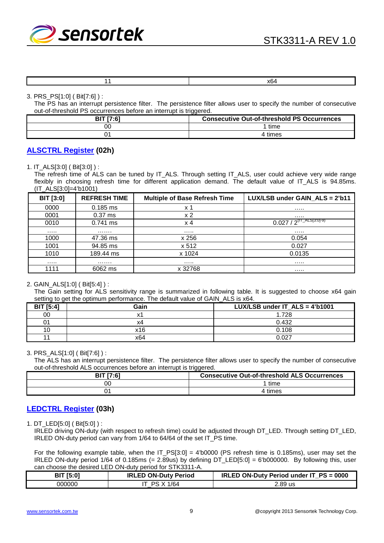

3. PRS\_PS[1:0] ( Bit[7:6] ) :

The PS has an interrupt persistence filter. The persistence filter allows user to specify the number of consecutive out-of-threshold PS occurrences before an interrupt is triggered.

| <b>RIT 17 61</b> | <b>Consecutive Out-of-threshold PS Occurrences</b> |
|------------------|----------------------------------------------------|
| OC               | time                                               |
| ົາ^              | times                                              |

#### **ALSCTRL Register (02h)**

1. IT\_ALS[3:0] ( Bit[3:0] ) :

The refresh time of ALS can be tuned by IT\_ALS. Through setting IT\_ALS, user could achieve very wide range flexibly in choosing refresh time for different application demand. The default value of IT\_ALS is 94.85ms. (IT\_ALS[3:0]=4'b1001)

| <b>BIT [3:0]</b> | <b>REFRESH TIME</b> | <b>Multiple of Base Refresh Time</b> | LUX/LSB under GAIN ALS = 2'b11          |
|------------------|---------------------|--------------------------------------|-----------------------------------------|
| 0000             | $0.185$ ms          | x 1                                  |                                         |
| 0001             | $0.37$ ms           | x 2                                  |                                         |
| 0010             | $0.741 \text{ ms}$  | $\times$ 4                           | $0.027 / 2^{(\text{IT\_ALS}[3:0] - 9)}$ |
| .                | .                   |                                      |                                         |
| 1000             | 47.36 ms            | x 256                                | 0.054                                   |
| 1001             | 94.85 ms            | x 512                                | 0.027                                   |
| 1010             | 189.44 ms           | x 1024                               | 0.0135                                  |
| .                |                     |                                      |                                         |
| 1111             | 6062 ms             | x 32768                              |                                         |

#### 2. GAIN\_ALS[1:0] ( Bit[5:4] ) :

The Gain setting for ALS sensitivity range is summarized in following table. It is suggested to choose x64 gain setting to get the optimum performance. The default value of GAIN ALS is  $x64$ .

| <b>BIT</b> [5:4] | Gain | LUX/LSB under IT $ALS = 4'b1001$ |
|------------------|------|----------------------------------|
| 00               |      | 1.728                            |
| 01               | x4   | 0.432                            |
| 10               | x16  | 0.108                            |
| 11               | x64  | 0.027                            |

#### 3. PRS\_ALS[1:0] ( Bit[7:6] ) :

The ALS has an interrupt persistence filter. The persistence filter allows user to specify the number of consecutive out-of-threshold ALS occurrences before an interrupt is triggered.

| <b>BIT</b> [7:6] | <b>Consecutive Out-of-threshold ALS Occurrences</b> |
|------------------|-----------------------------------------------------|
| 0C               | time                                                |
|                  | ∤times                                              |

#### **LEDCTRL Register (03h)**

1. DT\_LED[5:0] ( Bit[5:0] ) :

IRLED driving ON-duty (with respect to refresh time) could be adjusted through DT\_LED. Through setting DT\_LED, IRLED ON-duty period can vary from 1/64 to 64/64 of the set IT\_PS time.

For the following example table, when the IT\_PS[3:0] = 4'b0000 (PS refresh time is 0.185ms), user may set the IRLED ON-duty period 1/64 of 0.185ms (= 2.89us) by defining DT\_LED[5:0] = 6'b000000. By following this, user can choose the desired LED ON-duty period for STK3311-A.

| <b>BIT [5:0]</b> | <b>IRLED ON-Duty Period</b>   | IRLED ON-Duty Period under IT_PS = 0000 |
|------------------|-------------------------------|-----------------------------------------|
| 000000           | ີ 1/64<br>$\checkmark$<br>PS. | 2.89 us                                 |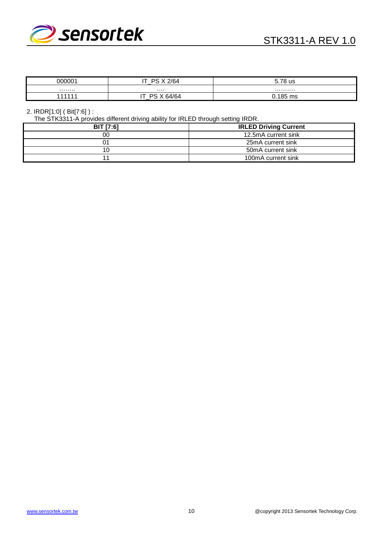

| <u> NUUUU 1</u><br>м | X <sub>2</sub> /64<br>$-$<br><sub>DO</sub> | 5.78 us     |
|----------------------|--------------------------------------------|-------------|
| .                    | .                                          | .           |
| 44444                | 4/64<br>∍                                  | 0.185<br>ms |

#### 2. IRDR[1:0] ( Bit[7:6] ) :

The STK3311-A provides different driving ability for IRLED through setting IRDR.

| <b>BIT [7:6]</b> | <b>IRLED Driving Current</b> |
|------------------|------------------------------|
| 00               | 12.5mA current sink          |
| 01               | 25mA current sink            |
| 10               | 50mA current sink            |
|                  | 100mA current sink           |
|                  |                              |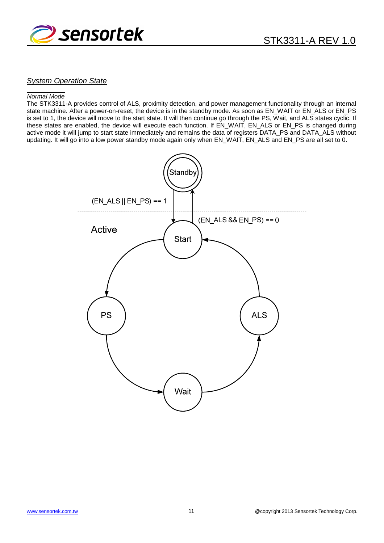

#### **System Operation State**

#### Normal Mode

The STK3311-A provides control of ALS, proximity detection, and power management functionality through an internal state machine. After a power-on-reset, the device is in the standby mode. As soon as EN\_WAIT or EN\_ALS or EN\_PS is set to 1, the device will move to the start state. It will then continue go through the PS, Wait, and ALS states cyclic. If these states are enabled, the device will execute each function. If EN\_WAIT, EN\_ALS or EN\_PS is changed during active mode it will jump to start state immediately and remains the data of registers DATA\_PS and DATA\_ALS without updating. It will go into a low power standby mode again only when EN\_WAIT, EN\_ALS and EN\_PS are all set to 0.

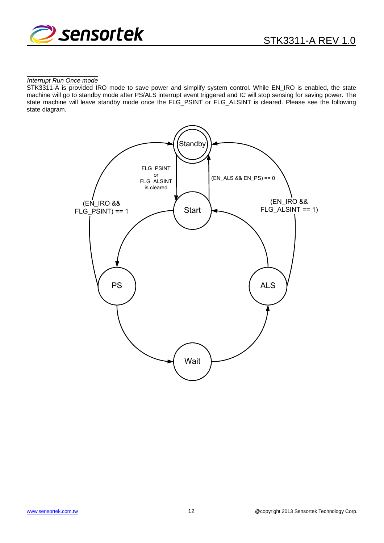

#### Interrupt Run Once mode

STK3311-A is provided IRO mode to save power and simplify system control. While EN\_IRO is enabled, the state machine will go to standby mode after PS/ALS interrupt event triggered and IC will stop sensing for saving power. The state machine will leave standby mode once the FLG\_PSINT or FLG\_ALSINT is cleared. Please see the following state diagram.

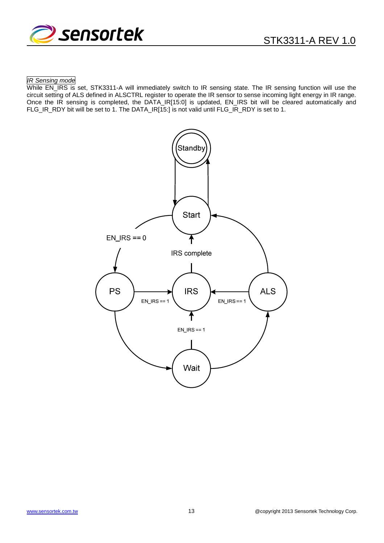

#### IR Sensing mode

While EN\_IRS is set, STK3311-A will immediately switch to IR sensing state. The IR sensing function will use the circuit setting of ALS defined in ALSCTRL register to operate the IR sensor to sense incoming light energy in IR range. Once the IR sensing is completed, the DATA\_IR[15:0] is updated, EN\_IRS bit will be cleared automatically and FLG\_IR\_RDY bit will be set to 1. The DATA\_IR[15:] is not valid until FLG\_IR\_RDY is set to 1.

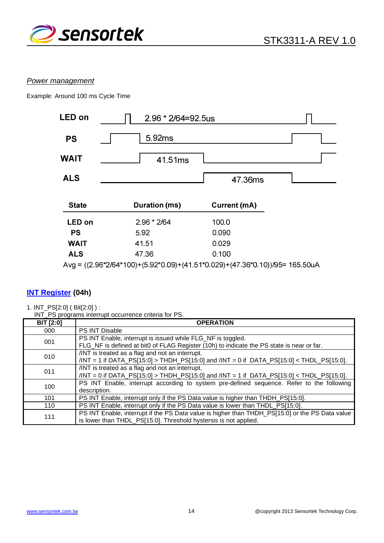

#### Power management

Example: Around 100 ms Cycle Time



### **INT Register (04h)**

1. INT\_PS[2:0] ( Bit[2:0] ) :

INT\_PS programs interrupt occurrence criteria for PS.

| $\overline{B}$ IT [2:0] | <b>OPERATION</b>                                                                                                                                                    |
|-------------------------|---------------------------------------------------------------------------------------------------------------------------------------------------------------------|
| 000                     | <b>PS INT Disable</b>                                                                                                                                               |
| 001                     | PS INT Enable, interrupt is issued while FLG_NF is toggled.<br>FLG_NF is defined at bit0 of FLAG Register (10h) to indicate the PS state is near or far.            |
| 010                     | /INT is treated as a flag and not an interrupt.<br>$/INT = 1$ if DATA_PS[15:0] > THDH_PS[15:0] and $/INT = 0$ if DATA_PS[15:0] < THDL_PS[15:0].                     |
| 011                     | /INT is treated as a flag and not an interrupt.<br>$/$ INT = 0 if DATA_PS[15:0] > THDH_PS[15:0] and $/$ INT = 1 if DATA_PS[15:0] < THDL_PS[15:0].                   |
| 100                     | PS INT Enable, interrupt according to system pre-defined sequence. Refer to the following<br>description.                                                           |
| 101                     | PS INT Enable, interrupt only if the PS Data value is higher than THDH_PS[15:0].                                                                                    |
| 110                     | PS INT Enable, interrupt only if the PS Data value is lower than THDL_PS[15:0].                                                                                     |
| 111                     | PS INT Enable, interrupt if the PS Data value is higher than THDH_PS[15:0] or the PS Data value<br>is lower than THDL_PS[15:0]. Threshold hystersis is not applied. |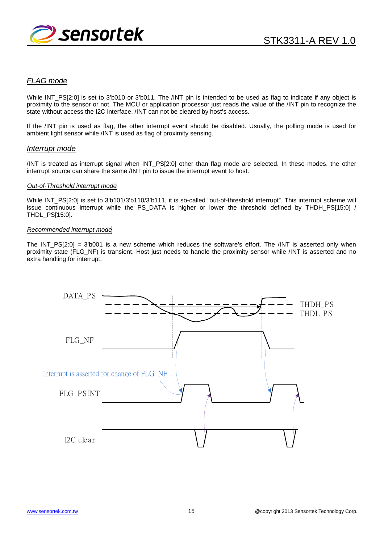

#### FLAG mode

While INT PS[2:0] is set to 3'b010 or 3'b011. The /INT pin is intended to be used as flag to indicate if any object is proximity to the sensor or not. The MCU or application processor just reads the value of the /INT pin to recognize the state without access the I2C interface. /INT can not be cleared by host's access.

If the /INT pin is used as flag, the other interrupt event should be disabled. Usually, the polling mode is used for ambient light sensor while /INT is used as flag of proximity sensing.

#### Interrupt mode

/INT is treated as interrupt signal when INT\_PS[2:0] other than flag mode are selected. In these modes, the other interrupt source can share the same /INT pin to issue the interrupt event to host.

#### Out-of-Threshold interrupt mode

While INT\_PS[2:0] is set to 3'b101/3'b110/3'b111, it is so-called "out-of-threshold interrupt". This interrupt scheme will issue continuous interrupt while the PS\_DATA is higher or lower the threshold defined by THDH\_PS[15:0] / THDL\_PS[15:0].

#### Recommended interrupt mode

The INT PS[2:0] = 3'b001 is a new scheme which reduces the software's effort. The /INT is asserted only when proximity state (FLG\_NF) is transient. Host just needs to handle the proximity sensor while /INT is asserted and no extra handling for interrupt.

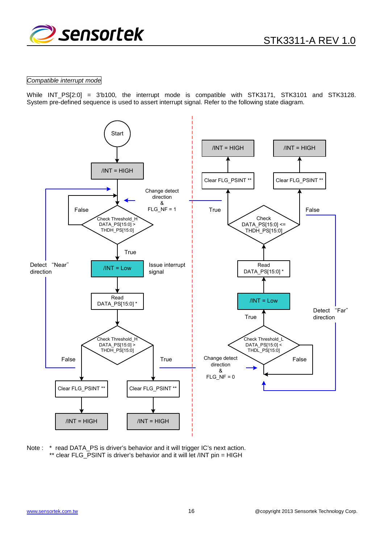

#### Compatible interrupt mode

While INT\_PS[2:0] = 3'b100, the interrupt mode is compatible with STK3171, STK3101 and STK3128. System pre-defined sequence is used to assert interrupt signal. Refer to the following state diagram.



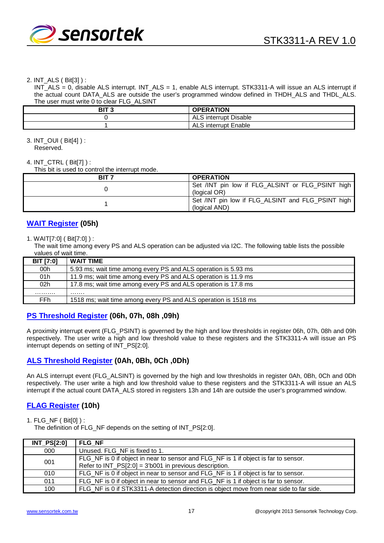

#### 2. INT\_ALS ( Bit[3] ) :

INT\_ALS = 0, disable ALS interrupt. INT\_ALS = 1, enable ALS interrupt. STK3311-A will issue an ALS interrupt if the actual count DATA\_ALS are outside the user's programmed window defined in THDH\_ALS and THDL\_ALS. The user must write 0 to clear FLG\_ALSINT

| $\frac{1}{2}$ . The contract $\frac{1}{2}$ is the cross $\frac{1}{2}$ . The contract of $\frac{1}{2}$ |                             |
|-------------------------------------------------------------------------------------------------------|-----------------------------|
| י דוח<br>oı                                                                                           | <b>OPERATION</b>            |
|                                                                                                       | ALS interrupt Disable       |
|                                                                                                       | <b>ALS interrupt Enable</b> |

#### 3. INT\_OUI ( Bit[4] ) : Reserved.

#### 4. INT\_CTRL ( Bit[7] ) :

This bit is used to control the interrupt mode.

| BIT <sub>7</sub> | <b>OPERATION</b>                                                   |
|------------------|--------------------------------------------------------------------|
|                  | Set /INT pin low if FLG_ALSINT or FLG_PSINT high<br>(logical OR)   |
|                  | Set /INT pin low if FLG_ALSINT and FLG_PSINT high<br>(logical AND) |

### **WAIT Register (05h)**

#### 1. WAIT[7:0] ( Bit[7:0] ) :

The wait time among every PS and ALS operation can be adjusted via I2C. The following table lists the possible values of wait time.

| <b>BIT [7:0]</b> | <b>WAIT TIME</b>                                               |
|------------------|----------------------------------------------------------------|
| 00h              | 5.93 ms; wait time among every PS and ALS operation is 5.93 ms |
| 01h              | 11.9 ms; wait time among every PS and ALS operation is 11.9 ms |
| 02 <sub>h</sub>  | 17.8 ms; wait time among every PS and ALS operation is 17.8 ms |
| .                | .                                                              |
| FFh.             | 1518 ms; wait time among every PS and ALS operation is 1518 ms |

### **PS Threshold Register (06h, 07h, 08h ,09h)**

A proximity interrupt event (FLG\_PSINT) is governed by the high and low thresholds in register 06h, 07h, 08h and 09h respectively. The user write a high and low threshold value to these registers and the STK3311-A will issue an PS interrupt depends on setting of INT\_PS[2:0].

### **ALS Threshold Register (0Ah, 0Bh, 0Ch ,0Dh)**

An ALS interrupt event (FLG\_ALSINT) is governed by the high and low thresholds in register 0Ah, 0Bh, 0Ch and 0Dh respectively. The user write a high and low threshold value to these registers and the STK3311-A will issue an ALS interrupt if the actual count DATA\_ALS stored in registers 13h and 14h are outside the user's programmed window.

### **FLAG Register (10h)**

1. FLG\_NF ( Bit[0] ) :

The definition of FLG\_NF depends on the setting of INT\_PS[2:0].

| <b>INT_PS[2:0]</b> | <b>FLG NF</b>                                                                           |
|--------------------|-----------------------------------------------------------------------------------------|
| 000                | Unused. FLG NF is fixed to 1.                                                           |
| 001                | FLG_NF is 0 if object in near to sensor and FLG_NF is 1 if object is far to sensor.     |
|                    | Refer to $INT$ $PS[2:0] = 33$ b001 in previous description.                             |
| 010                | FLG_NF is 0 if object in near to sensor and FLG_NF is 1 if object is far to sensor.     |
| 011                | FLG_NF is 0 if object in near to sensor and FLG_NF is 1 if object is far to sensor.     |
| 100                | FLG NF is 0 if STK3311-A detection direction is object move from near side to far side. |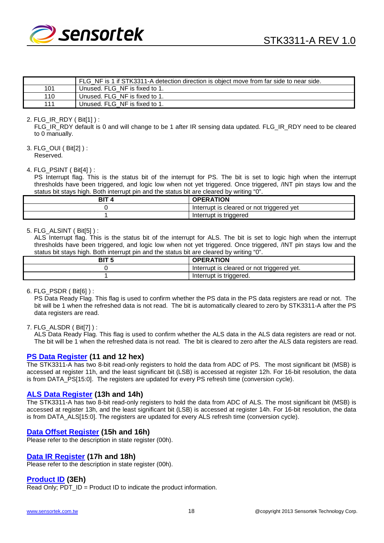

|     | FLG NF is 1 if STK3311-A detection direction is object move from far side to near side. |
|-----|-----------------------------------------------------------------------------------------|
| 101 | Unused. FLG NF is fixed to 1.                                                           |
| 110 | Unused. FLG NF is fixed to 1.                                                           |
| 111 | Unused. FLG NF is fixed to 1.                                                           |

#### 2. FLG\_IR\_RDY ( Bit[1] ) :

FLG\_IR\_RDY default is 0 and will change to be 1 after IR sensing data updated. FLG\_IR\_RDY need to be cleared to 0 manually.

3. FLG\_OUI ( Bit[2] ) : Reserved.

#### 4. FLG\_PSINT ( Bit[4] ) :

PS Interrupt flag. This is the status bit of the interrupt for PS. The bit is set to logic high when the interrupt thresholds have been triggered, and logic low when not yet triggered. Once triggered, /INT pin stays low and the status bit stays high. Both interrupt pin and the status bit are cleared by writing "0".

| <b>OPERATION</b>                          |
|-------------------------------------------|
| Interrupt is cleared or not triggered yet |
| Interrupt is triggered                    |

#### 5. FLG\_ALSINT ( Bit[5] ) :

ALS Interrupt flag. This is the status bit of the interrupt for ALS. The bit is set to logic high when the interrupt thresholds have been triggered, and logic low when not yet triggered. Once triggered, /INT pin stays low and the status bit stays high. Both interrupt pin and the status bit are cleared by writing "0".

| נום | <b>OPERATION</b>                           |
|-----|--------------------------------------------|
|     | Interrupt is cleared or not triggered yet. |
|     | Interrupt is triggered.                    |

6. FLG\_PSDR ( Bit[6] ) :

PS Data Ready Flag. This flag is used to confirm whether the PS data in the PS data registers are read or not. The bit will be 1 when the refreshed data is not read. The bit is automatically cleared to zero by STK3311-A after the PS data registers are read.

#### 7. FLG\_ALSDR ( Bit[7] ) :

ALS Data Ready Flag. This flag is used to confirm whether the ALS data in the ALS data registers are read or not. The bit will be 1 when the refreshed data is not read. The bit is cleared to zero after the ALS data registers are read.

#### **PS Data Register (11 and 12 hex)**

The STK3311-A has two 8-bit read-only registers to hold the data from ADC of PS. The most significant bit (MSB) is accessed at register 11h, and the least significant bit (LSB) is accessed at register 12h. For 16-bit resolution, the data is from DATA\_PS[15:0]. The registers are updated for every PS refresh time (conversion cycle).

#### **ALS Data Register (13h and 14h)**

The STK3311-A has two 8-bit read-only registers to hold the data from ADC of ALS. The most significant bit (MSB) is accessed at register 13h, and the least significant bit (LSB) is accessed at register 14h. For 16-bit resolution, the data is from DATA\_ALS[15:0]. The registers are updated for every ALS refresh time (conversion cycle).

#### **Data Offset Register (15h and 16h)**

Please refer to the description in state register (00h).

#### **Data IR Register (17h and 18h)**

Please refer to the description in state register (00h).

#### **Product ID (3Eh)**

Read Only; PDT\_ID = Product ID to indicate the product information.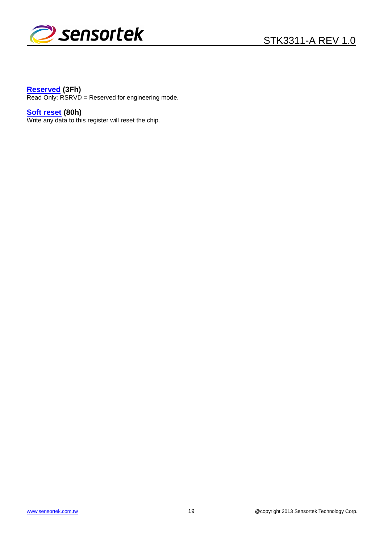

#### **Reserved (3Fh)**

Read Only; RSRVD = Reserved for engineering mode.

### **Soft reset (80h)**

Write any data to this register will reset the chip.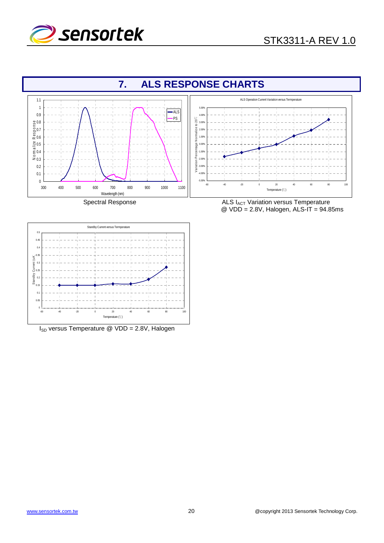





 $I_{SD}$  versus Temperature @ VDD = 2.8V, Halogen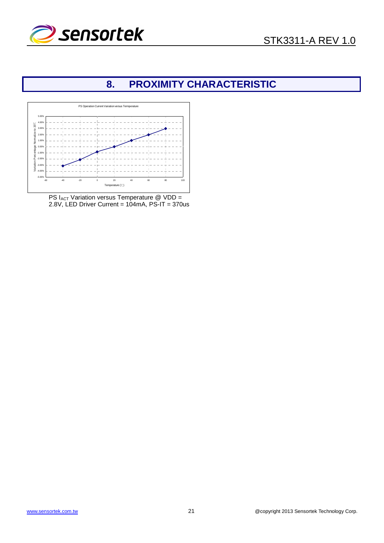



# **8. PROXIMITY CHARACTERISTIC**



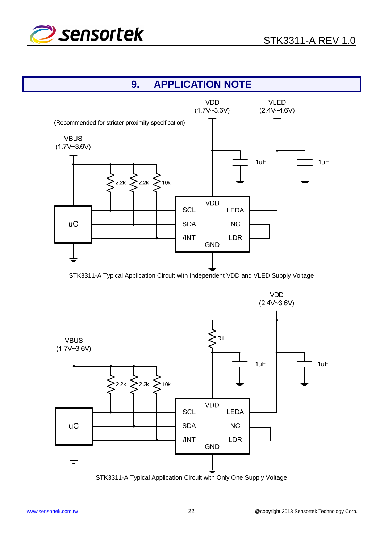

# **9. APPLICATION NOTE**



STK3311-A Typical Application Circuit with Independent VDD and VLED Supply Voltage



STK3311-A Typical Application Circuit with Only One Supply Voltage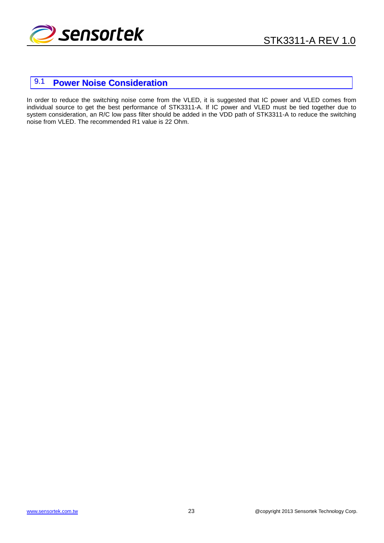

# 9.1 **Power Noise Consideration**

In order to reduce the switching noise come from the VLED, it is suggested that IC power and VLED comes from individual source to get the best performance of STK3311-A. If IC power and VLED must be tied together due to system consideration, an R/C low pass filter should be added in the VDD path of STK3311-A to reduce the switching noise from VLED. The recommended R1 value is 22 Ohm.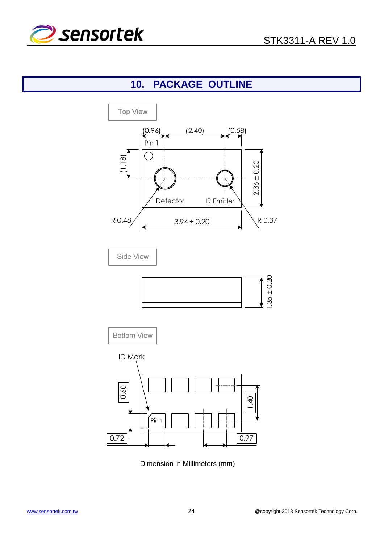

# **10. PACKAGE OUTLINE**



Dimension in Millimeters (mm)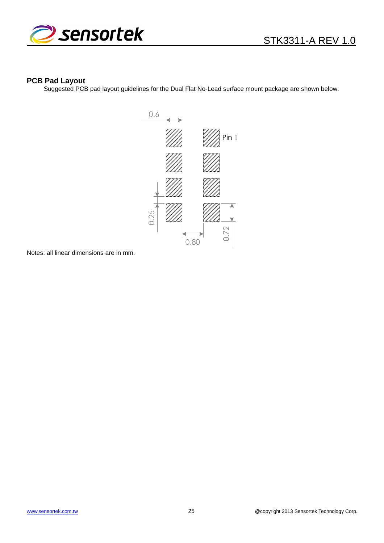



#### **PCB Pad Layout**

Suggested PCB pad layout guidelines for the Dual Flat No-Lead surface mount package are shown below.



Notes: all linear dimensions are in mm.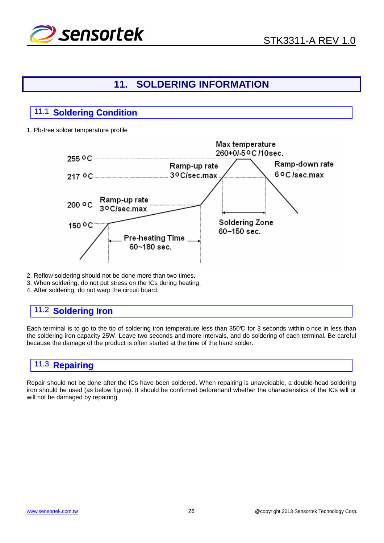

# **11. SOLDERING INFORMATION**

# 11.1 **Soldering Condition**

1. Pb-free solder temperature profile



- 2. Reflow soldering should not be done more than two times.
- 3. When soldering, do not put stress on the ICs during heating.
- 4. After soldering, do not warp the circuit board.

### 11.2 **Soldering Iron**

Each terminal is to go to the tip of soldering iron temperature less than 350°C for 3 seconds within o nce in less than the soldering iron capacity 25W. Leave two seconds and more intervals, and do soldering of each terminal. Be careful because the damage of the product is often started at the time of the hand solder.

# 11.3 **Repairing**

Repair should not be done after the ICs have been soldered. When repairing is unavoidable, a double-head soldering iron should be used (as below figure). It should be confirmed beforehand whether the characteristics of the ICs will or will not be damaged by repairing.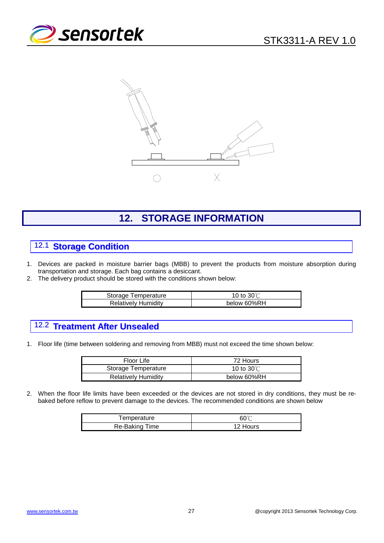



# **12. STORAGE INFORMATION**

# 12.1 **Storage Condition**

- 1. Devices are packed in moisture barrier bags (MBB) to prevent the products from moisture absorption during transportation and storage. Each bag contains a desiccant.
- 2. The delivery product should be stored with the conditions shown below:

| Storage Temperature        | 10 to $30^{\circ}$ C |
|----------------------------|----------------------|
| <b>Relatively Humidity</b> | below 60%RH          |

# 12.2 **Treatment After Unsealed**

1. Floor life (time between soldering and removing from MBB) must not exceed the time shown below:

| Floor Life                 | 72 Hours             |
|----------------------------|----------------------|
| Storage Temperature        | 10 to $30^{\circ}$ C |
| <b>Relatively Humidity</b> | below 60%RH          |

2. When the floor life limits have been exceeded or the devices are not stored in dry conditions, they must be rebaked before reflow to prevent damage to the devices. The recommended conditions are shown below

| Femperature    | 60℃      |
|----------------|----------|
| Re-Baking Time | 12 Hours |